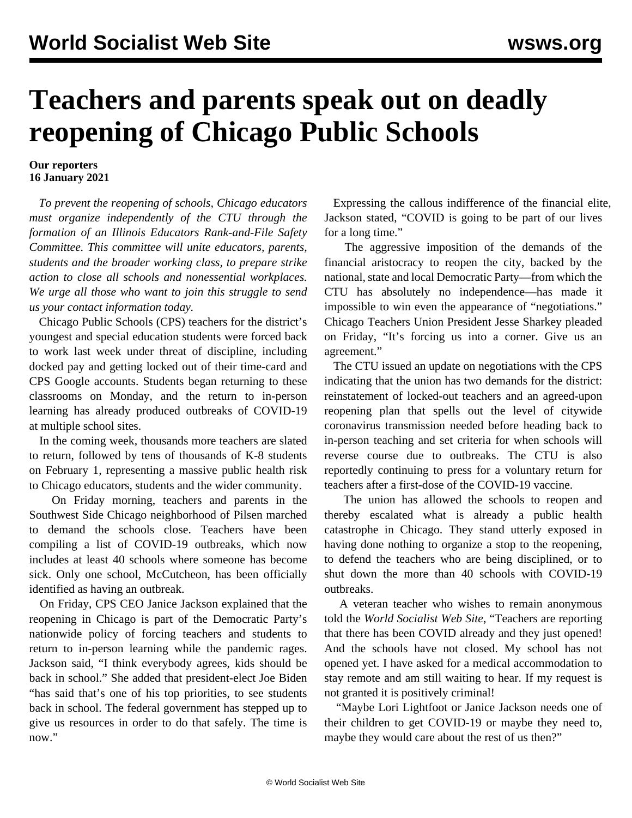## **Teachers and parents speak out on deadly reopening of Chicago Public Schools**

## **Our reporters 16 January 2021**

 *To prevent the reopening of schools, Chicago educators must organize independently of the CTU through the formation of an Illinois Educators Rank-and-File Safety Committee. This committee will unite educators, parents, students and the broader working class, to prepare strike action to close all schools and nonessential workplaces. We urge all those who want to join this struggle to [send](/edsafety) [us your contact information today.](/edsafety)*

 Chicago Public Schools (CPS) teachers for the district's youngest and special education students were forced back to work last week under threat of discipline, including docked pay and getting locked out of their time-card and CPS Google accounts. Students began returning to these classrooms on Monday, and the return to in-person learning has already produced outbreaks of COVID-19 at [multiple school sites](/en/articles/2021/01/15/chic-j15.html).

 In the coming week, thousands more teachers are slated to return, followed by tens of thousands of K-8 students on February 1, representing a massive public health risk to Chicago educators, students and the wider community.

 On Friday morning, teachers and parents in the Southwest Side Chicago neighborhood of Pilsen marched to demand the schools close. Teachers have been compiling a list of COVID-19 outbreaks, which now includes at least 40 schools where someone has become sick. Only one school, McCutcheon, has been officially identified as having an outbreak.

 On Friday, CPS CEO Janice Jackson explained that the reopening in Chicago is part of the Democratic Party's nationwide policy of forcing teachers and students to return to in-person learning while the pandemic rages. Jackson said, "I think everybody agrees, kids should be back in school." She added that president-elect Joe Biden "has said that's one of his top priorities, to see students back in school. The federal government has stepped up to give us resources in order to do that safely. The time is now."

 Expressing the callous indifference of the financial elite, Jackson stated, "COVID is going to be part of our lives for a long time."

 The aggressive imposition of the demands of the financial aristocracy to reopen the city, backed by the national, state and local Democratic Party—from which the CTU has absolutely no independence—has made it impossible to win even the appearance of "negotiations." Chicago Teachers Union President Jesse Sharkey pleaded on Friday, "It's forcing us into a corner. Give us an agreement."

 The CTU issued an update on negotiations with the CPS indicating that the union has two demands for the district: reinstatement of locked-out teachers and an agreed-upon reopening plan that spells out the level of citywide coronavirus transmission needed before heading back to in-person teaching and set criteria for when schools will reverse course due to outbreaks. The CTU is also reportedly continuing to press for a voluntary return for teachers after a first-dose of the COVID-19 vaccine.

 The union has allowed the schools to reopen and thereby escalated what is already a public health catastrophe in Chicago. They stand utterly exposed in having done nothing to organize a stop to the reopening, to defend the teachers who are being disciplined, or to shut down the more than 40 schools with COVID-19 outbreaks.

 A veteran teacher who wishes to remain anonymous told the *World Socialist Web Site*, "Teachers are reporting that there has been COVID already and they just opened! And the schools have not closed. My school has not opened yet. I have asked for a medical accommodation to stay remote and am still waiting to hear. If my request is not granted it is positively criminal!

 "Maybe Lori Lightfoot or Janice Jackson needs one of their children to get COVID-19 or maybe they need to, maybe they would care about the rest of us then?"